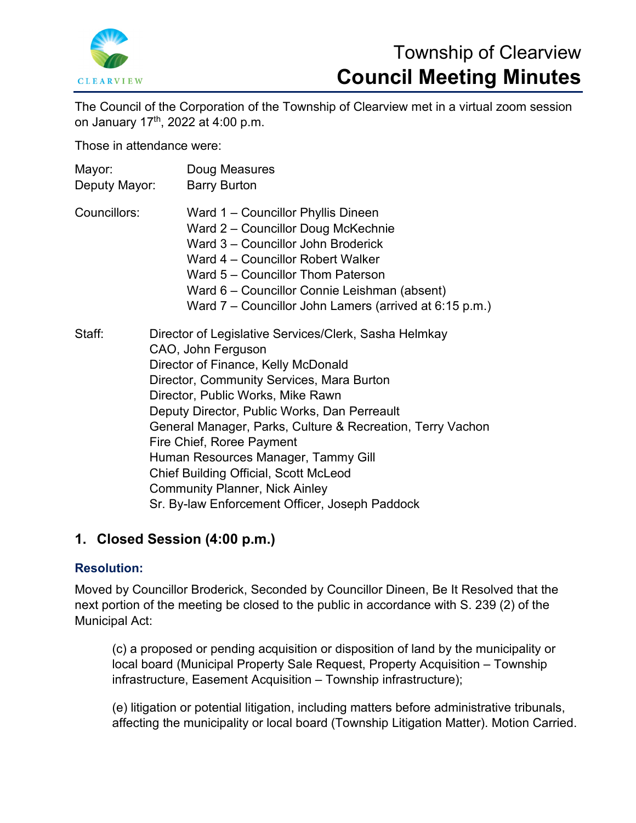

# Township of Clearview **Council Meeting Minutes**

The Council of the Corporation of the Township of Clearview met in a virtual zoom session on January 17th, 2022 at 4:00 p.m.

Those in attendance were:

| Mayor:<br>Deputy Mayor: | Doug Measures<br><b>Barry Burton</b>                                                                                                                                                                                                                                                                                                                                                                                                                                                                                              |
|-------------------------|-----------------------------------------------------------------------------------------------------------------------------------------------------------------------------------------------------------------------------------------------------------------------------------------------------------------------------------------------------------------------------------------------------------------------------------------------------------------------------------------------------------------------------------|
| Councillors:            | Ward 1 – Councillor Phyllis Dineen<br>Ward 2 - Councillor Doug McKechnie<br>Ward 3 - Councillor John Broderick<br>Ward 4 - Councillor Robert Walker<br>Ward 5 – Councillor Thom Paterson<br>Ward 6 - Councillor Connie Leishman (absent)<br>Ward $7$ – Councillor John Lamers (arrived at 6:15 p.m.)                                                                                                                                                                                                                              |
| Staff:                  | Director of Legislative Services/Clerk, Sasha Helmkay<br>CAO, John Ferguson<br>Director of Finance, Kelly McDonald<br>Director, Community Services, Mara Burton<br>Director, Public Works, Mike Rawn<br>Deputy Director, Public Works, Dan Perreault<br>General Manager, Parks, Culture & Recreation, Terry Vachon<br>Fire Chief, Roree Payment<br>Human Resources Manager, Tammy Gill<br><b>Chief Building Official, Scott McLeod</b><br><b>Community Planner, Nick Ainley</b><br>Sr. By-law Enforcement Officer, Joseph Paddock |

# **1. Closed Session (4:00 p.m.)**

#### **Resolution:**

Moved by Councillor Broderick, Seconded by Councillor Dineen, Be It Resolved that the next portion of the meeting be closed to the public in accordance with S. 239 (2) of the Municipal Act:

(c) a proposed or pending acquisition or disposition of land by the municipality or local board (Municipal Property Sale Request, Property Acquisition – Township infrastructure, Easement Acquisition – Township infrastructure);

(e) litigation or potential litigation, including matters before administrative tribunals, affecting the municipality or local board (Township Litigation Matter). Motion Carried.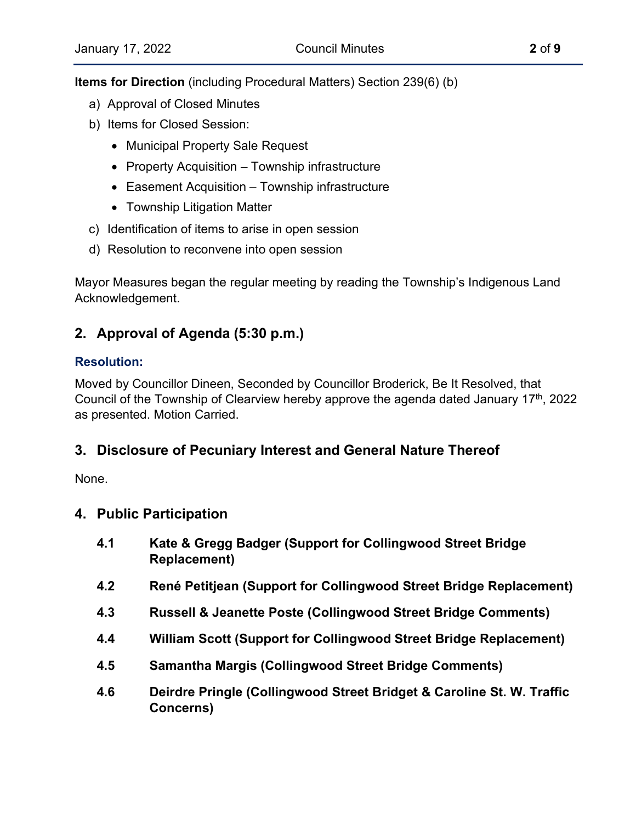**Items for Direction** (including Procedural Matters) Section 239(6) (b)

- a) Approval of Closed Minutes
- b) Items for Closed Session:
	- Municipal Property Sale Request
	- Property Acquisition Township infrastructure
	- Easement Acquisition Township infrastructure
	- Township Litigation Matter
- c) Identification of items to arise in open session
- d) Resolution to reconvene into open session

Mayor Measures began the regular meeting by reading the Township's Indigenous Land Acknowledgement.

# **2. Approval of Agenda (5:30 p.m.)**

## **Resolution:**

Moved by Councillor Dineen, Seconded by Councillor Broderick, Be It Resolved, that Council of the Township of Clearview hereby approve the agenda dated January 17<sup>th</sup>, 2022 as presented. Motion Carried.

# **3. Disclosure of Pecuniary Interest and General Nature Thereof**

None.

# **4. Public Participation**

- **4.1 Kate & Gregg Badger (Support for Collingwood Street Bridge Replacement)**
- **4.2 René Petitjean (Support for Collingwood Street Bridge Replacement)**
- **4.3 Russell & Jeanette Poste (Collingwood Street Bridge Comments)**
- **4.4 William Scott (Support for Collingwood Street Bridge Replacement)**
- **4.5 Samantha Margis (Collingwood Street Bridge Comments)**
- **4.6 Deirdre Pringle (Collingwood Street Bridget & Caroline St. W. Traffic Concerns)**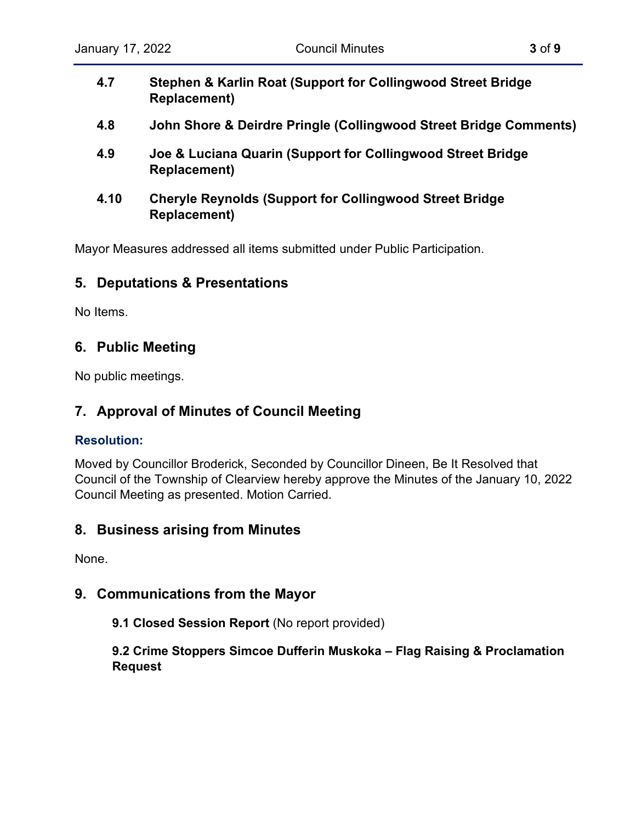- **4.7 Stephen & Karlin Roat (Support for Collingwood Street Bridge Replacement)**
- **4.8 John Shore & Deirdre Pringle (Collingwood Street Bridge Comments)**
- **4.9 Joe & Luciana Quarin (Support for Collingwood Street Bridge Replacement)**
- **4.10 Cheryle Reynolds (Support for Collingwood Street Bridge Replacement)**

Mayor Measures addressed all items submitted under Public Participation.

# **5. Deputations & Presentations**

No Items.

# **6. Public Meeting**

No public meetings.

# **7. Approval of Minutes of Council Meeting**

#### **Resolution:**

Moved by Councillor Broderick, Seconded by Councillor Dineen, Be It Resolved that Council of the Township of Clearview hereby approve the Minutes of the January 10, 2022 Council Meeting as presented. Motion Carried.

# **8. Business arising from Minutes**

None.

# **9. Communications from the Mayor**

**9.1 Closed Session Report** (No report provided)

**9.2 Crime Stoppers Simcoe Dufferin Muskoka – Flag Raising & Proclamation Request**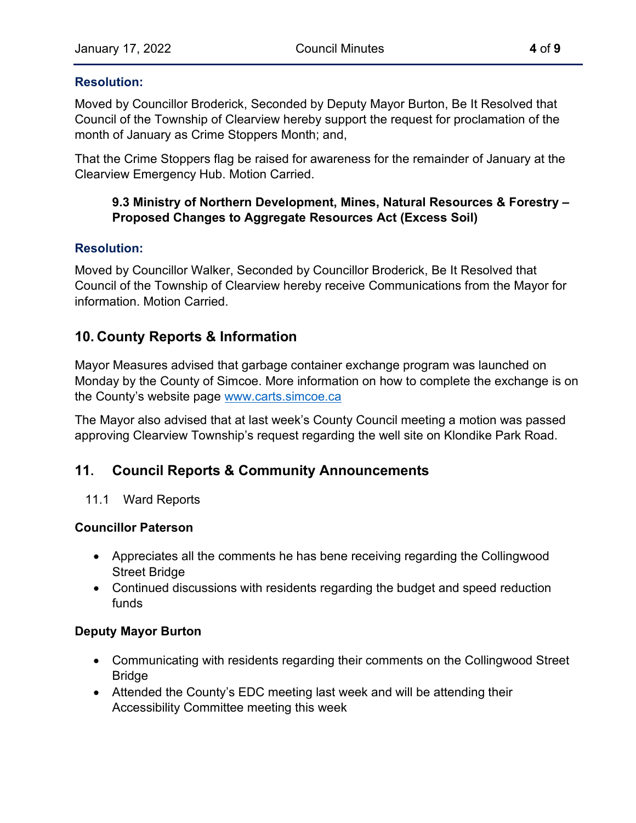#### **Resolution:**

Moved by Councillor Broderick, Seconded by Deputy Mayor Burton, Be It Resolved that Council of the Township of Clearview hereby support the request for proclamation of the month of January as Crime Stoppers Month; and,

That the Crime Stoppers flag be raised for awareness for the remainder of January at the Clearview Emergency Hub. Motion Carried.

#### **9.3 Ministry of Northern Development, Mines, Natural Resources & Forestry – Proposed Changes to Aggregate Resources Act (Excess Soil)**

#### **Resolution:**

Moved by Councillor Walker, Seconded by Councillor Broderick, Be It Resolved that Council of the Township of Clearview hereby receive Communications from the Mayor for information. Motion Carried.

# **10. County Reports & Information**

Mayor Measures advised that garbage container exchange program was launched on Monday by the County of Simcoe. More information on how to complete the exchange is on the County's website page [www.carts.simcoe.ca](http://www.carts.simcoe.ca/)

The Mayor also advised that at last week's County Council meeting a motion was passed approving Clearview Township's request regarding the well site on Klondike Park Road.

# **11. Council Reports & Community Announcements**

#### 11.1 Ward Reports

#### **Councillor Paterson**

- Appreciates all the comments he has bene receiving regarding the Collingwood Street Bridge
- Continued discussions with residents regarding the budget and speed reduction funds

#### **Deputy Mayor Burton**

- Communicating with residents regarding their comments on the Collingwood Street Bridge
- Attended the County's EDC meeting last week and will be attending their Accessibility Committee meeting this week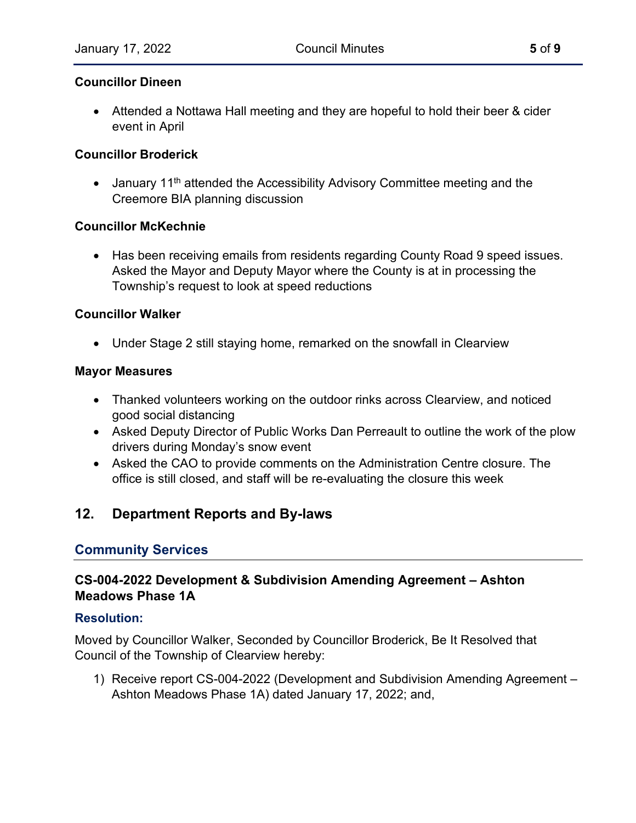#### **Councillor Dineen**

• Attended a Nottawa Hall meeting and they are hopeful to hold their beer & cider event in April

## **Councillor Broderick**

• January 11<sup>th</sup> attended the Accessibility Advisory Committee meeting and the Creemore BIA planning discussion

#### **Councillor McKechnie**

• Has been receiving emails from residents regarding County Road 9 speed issues. Asked the Mayor and Deputy Mayor where the County is at in processing the Township's request to look at speed reductions

#### **Councillor Walker**

• Under Stage 2 still staying home, remarked on the snowfall in Clearview

#### **Mayor Measures**

- Thanked volunteers working on the outdoor rinks across Clearview, and noticed good social distancing
- Asked Deputy Director of Public Works Dan Perreault to outline the work of the plow drivers during Monday's snow event
- Asked the CAO to provide comments on the Administration Centre closure. The office is still closed, and staff will be re-evaluating the closure this week

# **12. Department Reports and By-laws**

# **Community Services**

# **[CS-004-2022 Development & Subdivision Amending Agreement –](https://www.clearview.ca/sites/default/files/uploads/publications/cs-004-2022_ashton_meadows_phase_1a_-_development_subdivison_amending_agreement_0.pdf) Ashton [Meadows Phase 1A](https://www.clearview.ca/sites/default/files/uploads/publications/cs-004-2022_ashton_meadows_phase_1a_-_development_subdivison_amending_agreement_0.pdf)**

#### **Resolution:**

Moved by Councillor Walker, Seconded by Councillor Broderick, Be It Resolved that Council of the Township of Clearview hereby:

1) Receive report CS-004-2022 (Development and Subdivision Amending Agreement – Ashton Meadows Phase 1A) dated January 17, 2022; and,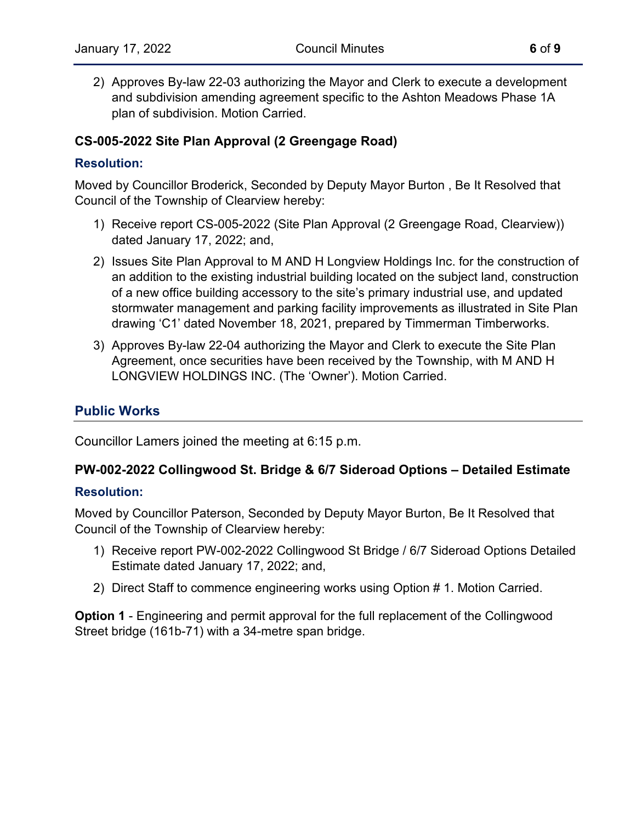2) Approves By-law 22-03 authorizing the Mayor and Clerk to execute a development and subdivision amending agreement specific to the Ashton Meadows Phase 1A plan of subdivision. Motion Carried.

# **[CS-005-2022 Site Plan Approval \(2 Greengage Road\)](https://www.clearview.ca/sites/default/files/uploads/publications/cs-005-2022_site_plan_approval_-_2_greengage_road.pdf)**

# **Resolution:**

Moved by Councillor Broderick, Seconded by Deputy Mayor Burton , Be It Resolved that Council of the Township of Clearview hereby:

- 1) Receive report CS-005-2022 (Site Plan Approval (2 Greengage Road, Clearview)) dated January 17, 2022; and,
- 2) Issues Site Plan Approval to M AND H Longview Holdings Inc. for the construction of an addition to the existing industrial building located on the subject land, construction of a new office building accessory to the site's primary industrial use, and updated stormwater management and parking facility improvements as illustrated in Site Plan drawing 'C1' dated November 18, 2021, prepared by Timmerman Timberworks.
- 3) Approves By-law 22-04 authorizing the Mayor and Clerk to execute the Site Plan Agreement, once securities have been received by the Township, with M AND H LONGVIEW HOLDINGS INC. (The 'Owner'). Motion Carried.

## **Public Works**

Councillor Lamers joined the meeting at 6:15 p.m.

# **[PW-002-2022 Collingwood St. Bridge & 6/7 Sideroad Options –](https://www.clearview.ca/sites/default/files/uploads/publications/pw-002-2022_collingwood_st_6-7_sideroad_detailed_estimate_options-new_format.pdf) Detailed Estimate**

#### **Resolution:**

Moved by Councillor Paterson, Seconded by Deputy Mayor Burton, Be It Resolved that Council of the Township of Clearview hereby:

- 1) Receive report PW-002-2022 Collingwood St Bridge / 6/7 Sideroad Options Detailed Estimate dated January 17, 2022; and,
- 2) Direct Staff to commence engineering works using Option # 1. Motion Carried.

**Option 1** - Engineering and permit approval for the full replacement of the Collingwood Street bridge (161b-71) with a 34-metre span bridge.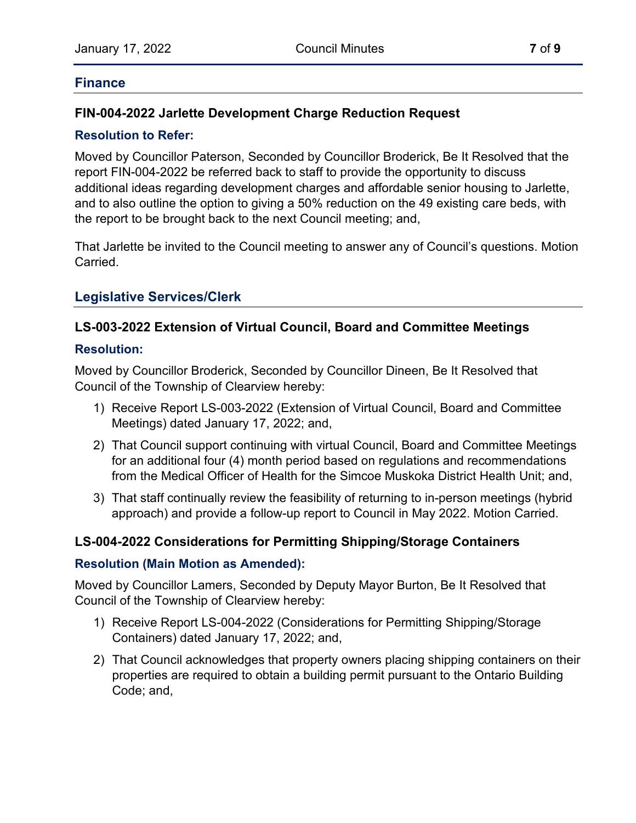#### **Finance**

## **[FIN-004-2022 Jarlette Development Charge Reduction Request](https://www.clearview.ca/sites/default/files/uploads/publications/fin-004-2022_jarlette_dc_reduction_request.pdf)**

#### **Resolution to Refer:**

Moved by Councillor Paterson, Seconded by Councillor Broderick, Be It Resolved that the report FIN-004-2022 be referred back to staff to provide the opportunity to discuss additional ideas regarding development charges and affordable senior housing to Jarlette, and to also outline the option to giving a 50% reduction on the 49 existing care beds, with the report to be brought back to the next Council meeting; and,

That Jarlette be invited to the Council meeting to answer any of Council's questions. Motion Carried.

## **Legislative Services/Clerk**

## **[LS-003-2022 Extension of Virtual Council, Board and Committee Meetings](https://www.clearview.ca/sites/default/files/uploads/publications/ls-003-2022_extension_of_virtual_council_board_and_committee_meetings.pdf)**

#### **Resolution:**

Moved by Councillor Broderick, Seconded by Councillor Dineen, Be It Resolved that Council of the Township of Clearview hereby:

- 1) Receive Report LS-003-2022 (Extension of Virtual Council, Board and Committee Meetings) dated January 17, 2022; and,
- 2) That Council support continuing with virtual Council, Board and Committee Meetings for an additional four (4) month period based on regulations and recommendations from the Medical Officer of Health for the Simcoe Muskoka District Health Unit; and,
- 3) That staff continually review the feasibility of returning to in-person meetings (hybrid approach) and provide a follow-up report to Council in May 2022. Motion Carried.

#### **[LS-004-2022 Considerations for Permitting Shipping/Storage Containers](https://www.clearview.ca/sites/default/files/uploads/publications/ls-004-2022_considerations_for_permitting_storage_containers.pdf)**

#### **Resolution (Main Motion as Amended):**

Moved by Councillor Lamers, Seconded by Deputy Mayor Burton, Be It Resolved that Council of the Township of Clearview hereby:

- 1) Receive Report LS-004-2022 (Considerations for Permitting Shipping/Storage Containers) dated January 17, 2022; and,
- 2) That Council acknowledges that property owners placing shipping containers on their properties are required to obtain a building permit pursuant to the Ontario Building Code; and,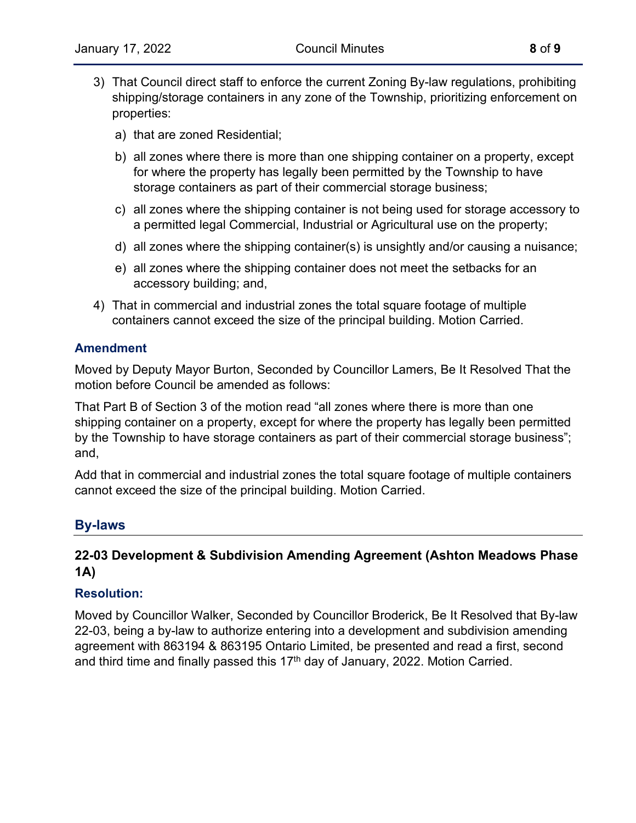- 3) That Council direct staff to enforce the current Zoning By-law regulations, prohibiting shipping/storage containers in any zone of the Township, prioritizing enforcement on properties:
	- a) that are zoned Residential;
	- b) all zones where there is more than one shipping container on a property, except for where the property has legally been permitted by the Township to have storage containers as part of their commercial storage business;
	- c) all zones where the shipping container is not being used for storage accessory to a permitted legal Commercial, Industrial or Agricultural use on the property;
	- d) all zones where the shipping container(s) is unsightly and/or causing a nuisance;
	- e) all zones where the shipping container does not meet the setbacks for an accessory building; and,
- 4) That in commercial and industrial zones the total square footage of multiple containers cannot exceed the size of the principal building. Motion Carried.

#### **Amendment**

Moved by Deputy Mayor Burton, Seconded by Councillor Lamers, Be It Resolved That the motion before Council be amended as follows:

That Part B of Section 3 of the motion read "all zones where there is more than one shipping container on a property, except for where the property has legally been permitted by the Township to have storage containers as part of their commercial storage business"; and,

Add that in commercial and industrial zones the total square footage of multiple containers cannot exceed the size of the principal building. Motion Carried.

# **By-laws**

## **[22-03 Development & Subdivision Amending Agreement \(Ashton Meadows Phase](https://www.clearview.ca/sites/default/files/uploads/publications/22-03_development_subdivision_amending_agreement_ashton_meadows_phase_1a.pdf)  [1A\)](https://www.clearview.ca/sites/default/files/uploads/publications/22-03_development_subdivision_amending_agreement_ashton_meadows_phase_1a.pdf)**

#### **Resolution:**

Moved by Councillor Walker, Seconded by Councillor Broderick, Be It Resolved that By-law 22-03, being a by-law to authorize entering into a development and subdivision amending agreement with 863194 & 863195 Ontario Limited, be presented and read a first, second and third time and finally passed this 17<sup>th</sup> day of January, 2022. Motion Carried.